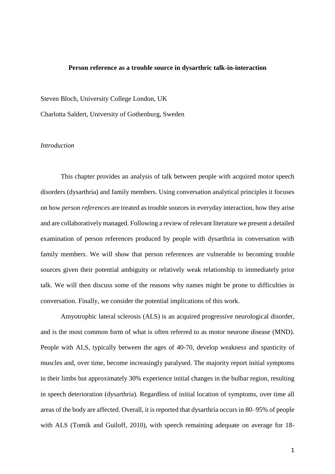#### **Person reference as a trouble source in dysarthric talk-in-interaction**

Steven Bloch, University College London, UK

Charlotta Saldert, University of Gothenburg, Sweden

# *Introduction*

This chapter provides an analysis of talk between people with acquired motor speech disorders (dysarthria) and family members. Using conversation analytical principles it focuses on how *person references* are treated as trouble sources in everyday interaction, how they arise and are collaboratively managed. Following a review of relevant literature we present a detailed examination of person references produced by people with dysarthria in conversation with family members. We will show that person references are vulnerable to becoming trouble sources given their potential ambiguity or relatively weak relationship to immediately prior talk. We will then discuss some of the reasons why names might be prone to difficulties in conversation. Finally, we consider the potential implications of this work.

Amyotrophic lateral sclerosis (ALS) is an acquired progressive neurological disorder, and is the most common form of what is often referred to as motor neurone disease (MND). People with ALS, typically between the ages of 40-70, develop weakness and spasticity of muscles and, over time, become increasingly paralysed. The majority report initial symptoms in their limbs but approximately 30% experience initial changes in the bulbar region, resulting in speech deterioration (dysarthria). Regardless of initial location of symptoms, over time all areas of the body are affected. Overall, it is reported that dysarthria occurs in 80–95% of people with ALS (Tomik and Guiloff, 2010), with speech remaining adequate on average for 18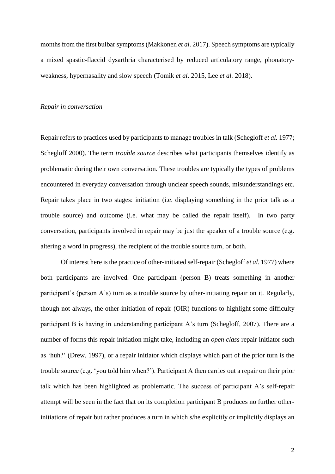months from the first bulbar symptoms(Makkonen *et al*. 2017). Speech symptoms are typically a mixed spastic-flaccid dysarthria characterised by reduced articulatory range, phonatoryweakness, hypernasality and slow speech (Tomik *et al*. 2015, Lee *et al.* 2018).

#### *Repair in conversation*

Repair refers to practices used by participants to manage troubles in talk (Schegloff *et al.* 1977; Schegloff 2000). The term *trouble source* describes what participants themselves identify as problematic during their own conversation. These troubles are typically the types of problems encountered in everyday conversation through unclear speech sounds, misunderstandings etc. Repair takes place in two stages: initiation (i.e. displaying something in the prior talk as a trouble source) and outcome (i.e. what may be called the repair itself). In two party conversation, participants involved in repair may be just the speaker of a trouble source (e.g. altering a word in progress), the recipient of the trouble source turn, or both.

Of interest here is the practice of other-initiated self-repair (Schegloff *et al.* 1977) where both participants are involved. One participant (person B) treats something in another participant's (person A's) turn as a trouble source by other-initiating repair on it. Regularly, though not always, the other-initiation of repair (OIR) functions to highlight some difficulty participant B is having in understanding participant A's turn (Schegloff, 2007). There are a number of forms this repair initiation might take, including an *open class* repair initiator such as 'huh?' (Drew, 1997), or a repair initiator which displays which part of the prior turn is the trouble source (e.g. 'you told him when?'). Participant A then carries out a repair on their prior talk which has been highlighted as problematic. The success of participant A's self-repair attempt will be seen in the fact that on its completion participant B produces no further otherinitiations of repair but rather produces a turn in which s/he explicitly or implicitly displays an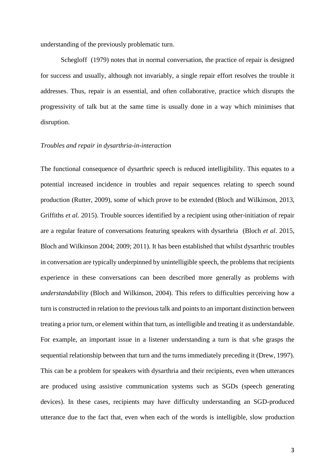understanding of the previously problematic turn.

Schegloff (1979) notes that in normal conversation, the practice of repair is designed for success and usually, although not invariably, a single repair effort resolves the trouble it addresses. Thus, repair is an essential, and often collaborative, practice which disrupts the progressivity of talk but at the same time is usually done in a way which minimises that disruption.

### *Troubles and repair in dysarthria-in-interaction*

The functional consequence of dysarthric speech is reduced intelligibility. This equates to a potential increased incidence in troubles and repair sequences relating to speech sound production (Rutter, 2009), some of which prove to be extended (Bloch and Wilkinson, 2013, Griffiths *et al.* 2015). Trouble sources identified by a recipient using other-initiation of repair are a regular feature of conversations featuring speakers with dysarthria (Bloch *et al*. 2015, Bloch and Wilkinson 2004; 2009; 2011). It has been established that whilst dysarthric troubles in conversation are typically underpinned by unintelligible speech, the problems that recipients experience in these conversations can been described more generally as problems with *understandability* (Bloch and Wilkinson, 2004). This refers to difficulties perceiving how a turn is constructed in relation to the previous talk and points to an important distinction between treating a prior turn, or element within that turn, as intelligible and treating it as understandable. For example, an important issue in a listener understanding a turn is that s/he grasps the sequential relationship between that turn and the turns immediately preceding it (Drew, 1997). This can be a problem for speakers with dysarthria and their recipients, even when utterances are produced using assistive communication systems such as SGDs (speech generating devices). In these cases, recipients may have difficulty understanding an SGD-produced utterance due to the fact that, even when each of the words is intelligible, slow production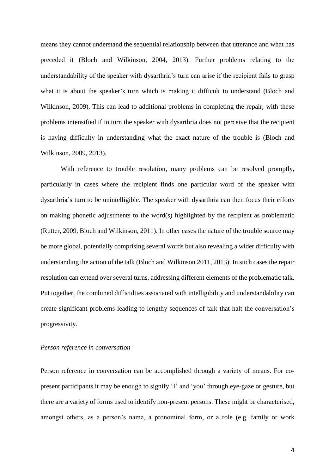means they cannot understand the sequential relationship between that utterance and what has preceded it (Bloch and Wilkinson, 2004, 2013). Further problems relating to the understandability of the speaker with dysarthria's turn can arise if the recipient fails to grasp what it is about the speaker's turn which is making it difficult to understand (Bloch and Wilkinson, 2009). This can lead to additional problems in completing the repair, with these problems intensified if in turn the speaker with dysarthria does not perceive that the recipient is having difficulty in understanding what the exact nature of the trouble is (Bloch and Wilkinson, 2009, 2013).

With reference to trouble resolution, many problems can be resolved promptly, particularly in cases where the recipient finds one particular word of the speaker with dysarthria's turn to be unintelligible. The speaker with dysarthria can then focus their efforts on making phonetic adjustments to the word(s) highlighted by the recipient as problematic (Rutter, 2009, Bloch and Wilkinson, 2011). In other cases the nature of the trouble source may be more global, potentially comprising several words but also revealing a wider difficulty with understanding the action of the talk (Bloch and Wilkinson 2011, 2013). In such cases the repair resolution can extend over several turns, addressing different elements of the problematic talk. Put together, the combined difficulties associated with intelligibility and understandability can create significant problems leading to lengthy sequences of talk that halt the conversation's progressivity.

## *Person reference in conversation*

Person reference in conversation can be accomplished through a variety of means. For copresent participants it may be enough to signify 'I' and 'you' through eye-gaze or gesture, but there are a variety of forms used to identify non-present persons. These might be characterised, amongst others, as a person's name, a pronominal form, or a role (e.g. family or work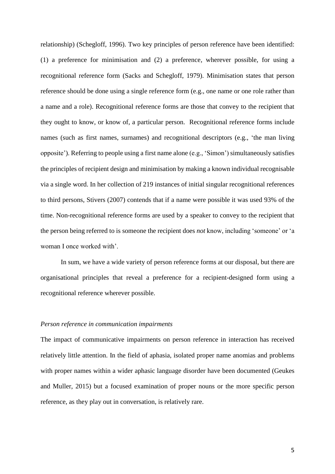relationship) (Schegloff, 1996). Two key principles of person reference have been identified: (1) a preference for minimisation and (2) a preference, wherever possible, for using a recognitional reference form (Sacks and Schegloff, 1979). Minimisation states that person reference should be done using a single reference form (e.g., one name or one role rather than a name and a role). Recognitional reference forms are those that convey to the recipient that they ought to know, or know of, a particular person. Recognitional reference forms include names (such as first names, surnames) and recognitional descriptors (e.g., 'the man living opposite'). Referring to people using a first name alone (e.g., 'Simon') simultaneously satisfies the principles of recipient design and minimisation by making a known individual recognisable via a single word. In her collection of 219 instances of initial singular recognitional references to third persons, Stivers (2007) contends that if a name were possible it was used 93% of the time. Non-recognitional reference forms are used by a speaker to convey to the recipient that the person being referred to is someone the recipient does *not* know, including 'someone' or 'a woman I once worked with'.

In sum, we have a wide variety of person reference forms at our disposal, but there are organisational principles that reveal a preference for a recipient-designed form using a recognitional reference wherever possible.

### *Person reference in communication impairments*

The impact of communicative impairments on person reference in interaction has received relatively little attention. In the field of aphasia, isolated proper name anomias and problems with proper names within a wider aphasic language disorder have been documented (Geukes and Muller, 2015) but a focused examination of proper nouns or the more specific person reference, as they play out in conversation, is relatively rare.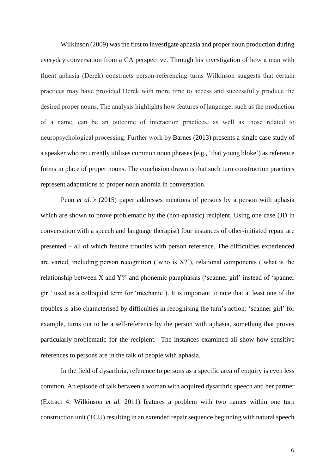Wilkinson (2009) was the first to investigate aphasia and proper noun production during everyday conversation from a CA perspective. Through his investigation of how a man with fluent aphasia (Derek) constructs person-referencing turns Wilkinson suggests that certain practices may have provided Derek with more time to access and successfully produce the desired proper nouns. The analysis highlights how features of language, such as the production of a name, can be an outcome of interaction practices, as well as those related to neuropsychological processing. Further work by Barnes (2013) presents a single case study of a speaker who recurrently utilises common noun phrases (e.g., 'that young bloke') as reference forms in place of proper nouns. The conclusion drawn is that such turn construction practices represent adaptations to proper noun anomia in conversation.

Penn *et al.'s* (2015) paper addresses mentions of persons by a person with aphasia which are shown to prove problematic by the (non-aphasic) recipient. Using one case (JD in conversation with a speech and language therapist) four instances of other-initiated repair are presented – all of which feature troubles with person reference. The difficulties experienced are varied, including person recognition ('who is X?'), relational components ('what is the relationship between X and Y?' and phonemic paraphasias ('scanner girl' instead of 'spanner girl' used as a colloquial term for 'mechanic'). It is important to note that at least one of the troubles is also characterised by difficulties in recognising the turn's action: 'scanner girl' for example, turns out to be a self-reference by the person with aphasia, something that proves particularly problematic for the recipient. The instances examined all show how sensitive references to persons are in the talk of people with aphasia.

In the field of dysarthria, reference to persons as a specific area of enquiry is even less common. An episode of talk between a woman with acquired dysarthric speech and her partner (Extract 4: Wilkinson *et al.* 2011) features a problem with two names within one turn construction unit (TCU) resulting in an extended repair sequence beginning with natural speech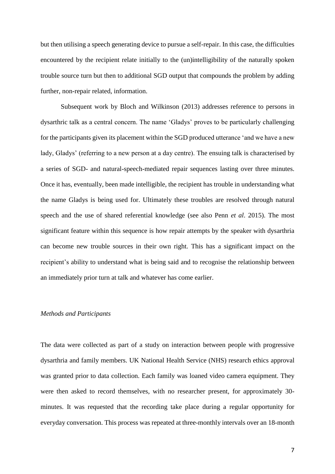but then utilising a speech generating device to pursue a self-repair. In this case, the difficulties encountered by the recipient relate initially to the (un)intelligibility of the naturally spoken trouble source turn but then to additional SGD output that compounds the problem by adding further, non-repair related, information.

Subsequent work by Bloch and Wilkinson (2013) addresses reference to persons in dysarthric talk as a central concern. The name 'Gladys' proves to be particularly challenging for the participants given its placement within the SGD produced utterance 'and we have a new lady, Gladys' (referring to a new person at a day centre). The ensuing talk is characterised by a series of SGD- and natural-speech-mediated repair sequences lasting over three minutes. Once it has, eventually, been made intelligible, the recipient has trouble in understanding what the name Gladys is being used for. Ultimately these troubles are resolved through natural speech and the use of shared referential knowledge (see also Penn *et al*. 2015). The most significant feature within this sequence is how repair attempts by the speaker with dysarthria can become new trouble sources in their own right. This has a significant impact on the recipient's ability to understand what is being said and to recognise the relationship between an immediately prior turn at talk and whatever has come earlier.

## *Methods and Participants*

The data were collected as part of a study on interaction between people with progressive dysarthria and family members. UK National Health Service (NHS) research ethics approval was granted prior to data collection. Each family was loaned video camera equipment. They were then asked to record themselves, with no researcher present, for approximately 30 minutes. It was requested that the recording take place during a regular opportunity for everyday conversation. This process was repeated at three-monthly intervals over an 18-month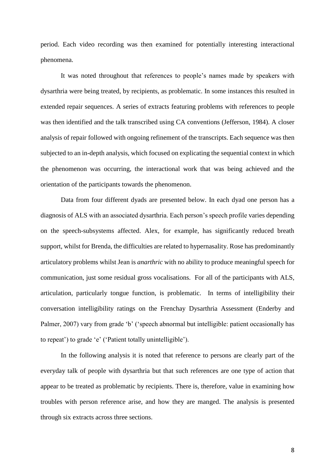period. Each video recording was then examined for potentially interesting interactional phenomena.

It was noted throughout that references to people's names made by speakers with dysarthria were being treated, by recipients, as problematic. In some instances this resulted in extended repair sequences. A series of extracts featuring problems with references to people was then identified and the talk transcribed using CA conventions (Jefferson, 1984). A closer analysis of repair followed with ongoing refinement of the transcripts. Each sequence was then subjected to an in-depth analysis, which focused on explicating the sequential context in which the phenomenon was occurring, the interactional work that was being achieved and the orientation of the participants towards the phenomenon.

Data from four different dyads are presented below. In each dyad one person has a diagnosis of ALS with an associated dysarthria. Each person's speech profile varies depending on the speech-subsystems affected. Alex, for example, has significantly reduced breath support, whilst for Brenda, the difficulties are related to hypernasality. Rose has predominantly articulatory problems whilst Jean is *anarthric* with no ability to produce meaningful speech for communication, just some residual gross vocalisations. For all of the participants with ALS, articulation, particularly tongue function, is problematic. In terms of intelligibility their conversation intelligibility ratings on the Frenchay Dysarthria Assessment (Enderby and Palmer, 2007) vary from grade 'b' ('speech abnormal but intelligible: patient occasionally has to repeat') to grade 'e' ('Patient totally unintelligible').

In the following analysis it is noted that reference to persons are clearly part of the everyday talk of people with dysarthria but that such references are one type of action that appear to be treated as problematic by recipients. There is, therefore, value in examining how troubles with person reference arise, and how they are manged. The analysis is presented through six extracts across three sections.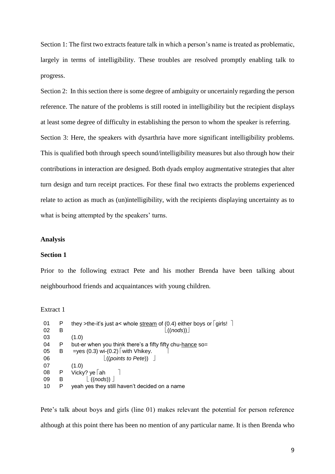Section 1: The first two extracts feature talk in which a person's name is treated as problematic, largely in terms of intelligibility. These troubles are resolved promptly enabling talk to progress.

Section 2: In this section there is some degree of ambiguity or uncertainly regarding the person reference. The nature of the problems is still rooted in intelligibility but the recipient displays at least some degree of difficulty in establishing the person to whom the speaker is referring. Section 3: Here, the speakers with dysarthria have more significant intelligibility problems. This is qualified both through speech sound/intelligibility measures but also through how their contributions in interaction are designed. Both dyads employ augmentative strategies that alter turn design and turn receipt practices. For these final two extracts the problems experienced relate to action as much as (un)intelligibility, with the recipients displaying uncertainty as to what is being attempted by the speakers' turns.

# **Analysis**

### **Section 1**

Prior to the following extract Pete and his mother Brenda have been talking about neighbourhood friends and acquaintances with young children.

Extract 1

| 01 |   | they >the-it's just a< whole stream of (0.4) either boys or $\lceil$ girls! $\rceil$ |
|----|---|--------------------------------------------------------------------------------------|
| 02 | В | $\lfloor$ ((nods)) $\rfloor$                                                         |
| 03 |   | (1.0)                                                                                |
| 04 | P | but-er when you think there's a fifty fifty chu-hance so=                            |
| 05 | в | =yes (0.3) wi-(0.2) with Vhikey.                                                     |
| 06 |   | $\lfloor$ ((points to Pete)) $\rfloor$                                               |
| 07 |   | (1.0)                                                                                |
| 08 | P |                                                                                      |
| 09 | в | $\lfloor$ ((nods)) $\rfloor$                                                         |
| 10 |   | yeah yes they still haven't decided on a name                                        |

Pete's talk about boys and girls (line 01) makes relevant the potential for person reference although at this point there has been no mention of any particular name. It is then Brenda who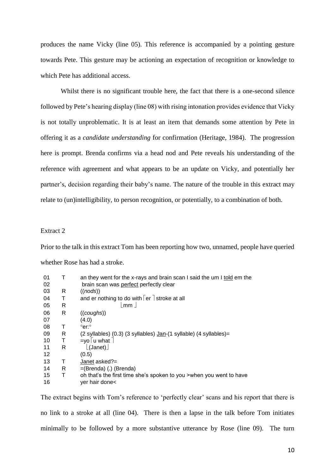produces the name Vicky (line 05). This reference is accompanied by a pointing gesture towards Pete. This gesture may be actioning an expectation of recognition or knowledge to which Pete has additional access.

Whilst there is no significant trouble here, the fact that there is a one-second silence followed by Pete's hearing display (line 08) with rising intonation provides evidence that Vicky is not totally unproblematic. It is at least an item that demands some attention by Pete in offering it as a *candidate understanding* for confirmation (Heritage, 1984). The progression here is prompt. Brenda confirms via a head nod and Pete reveals his understanding of the reference with agreement and what appears to be an update on Vicky, and potentially her partner's, decision regarding their baby's name. The nature of the trouble in this extract may relate to (un)intelligibility, to person recognition, or potentially, to a combination of both.

# Extract 2

Prior to the talk in this extract Tom has been reporting how two, unnamed, people have queried whether Rose has had a stroke.

| 01 | т | an they went for the x-rays and brain scan I said the um I told em the                                           |
|----|---|------------------------------------------------------------------------------------------------------------------|
| 02 |   | brain scan was perfect perfectly clear                                                                           |
| 03 | R | ((nodes))                                                                                                        |
| 04 | т | and er nothing to do with $\lceil e \rceil$ stroke at all                                                        |
| 05 | R | $\mathsf{m}\mathsf{m}$                                                                                           |
| 06 | R | ((coughs))                                                                                                       |
| 07 |   | (4.0)                                                                                                            |
| 08 | т | $^{\circ}$ er: $^{\circ}$                                                                                        |
| 09 | R | $(2 \text{ syllables})$ $(0.3)$ $(3 \text{ syllables})$ $\frac{\text{Jan}}{1}$ syllable) $(4 \text{ syllables})$ |
| 10 | Τ | $=$ yo $\lceil u \text{ what } \rceil$                                                                           |
| 11 | R | $\lfloor$ (Janet) $\rfloor$                                                                                      |
| 12 |   | (0.5)                                                                                                            |
| 13 | Τ | Janet asked?=                                                                                                    |
| 14 | R | $=(Brenda)$ (.) (Brenda)                                                                                         |
| 15 | т | oh that's the first time she's spoken to you >when you went to have                                              |
| 16 |   | yer hair done<                                                                                                   |

The extract begins with Tom's reference to 'perfectly clear' scans and his report that there is no link to a stroke at all (line 04). There is then a lapse in the talk before Tom initiates minimally to be followed by a more substantive utterance by Rose (line 09). The turn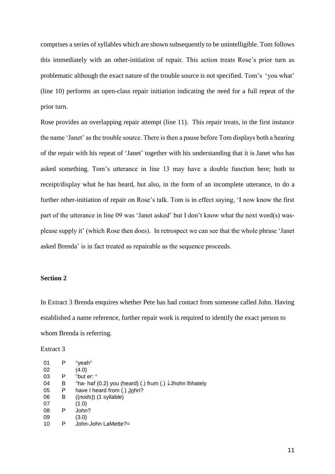comprises a series of syllables which are shown subsequently to be unintelligible. Tom follows this immediately with an other-initiation of repair. This action treats Rose's prior turn as problematic although the exact nature of the trouble source is not specified. Tom's 'you what' (line 10) performs an open-class repair initiation indicating the need for a full repeat of the prior turn.

Rose provides an overlapping repair attempt (line 11). This repair treats, in the first instance the name 'Janet' as the trouble source. There is then a pause before Tom displays both a hearing of the repair with his repeat of 'Janet' together with his understanding that it is Janet who has asked something. Tom's utterance in line 13 may have a double function here; both to receipt/display what he has heard, but also, in the form of an incomplete utterance, to do a further other-initiation of repair on Rose's talk. Tom is in effect saying, 'I now know the first part of the utterance in line 09 was 'Janet asked' but I don't know what the next word(s) wasplease supply it' (which Rose then does). In retrospect we can see that the whole phrase 'Janet asked Brenda' is in fact treated as repairable as the sequence proceeds.

### **Section 2**

In Extract 3 Brenda enquires whether Pete has had contact from someone called John. Having established a name reference, further repair work is required to identify the exact person to whom Brenda is referring.

Extract 3

| 01 |   | °veah°                                                                     |
|----|---|----------------------------------------------------------------------------|
| 02 |   | (4.0)                                                                      |
| 03 | Р | °but er: °                                                                 |
| 04 | В | $\circ$ ha- haf (0.2) you (heard) (.) frum (.) $\downarrow$ Jhohn lhhately |
| 05 | P | have I heard from (.) John?                                                |
| 06 | B | $((nodes))$ (1 syllable)                                                   |
| 07 |   | (1.0)                                                                      |
| 08 | Р | John?                                                                      |
| 09 |   | (3.0)                                                                      |
| 10 | Р | John-John LaMette?=                                                        |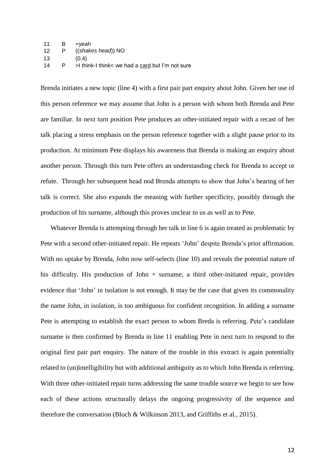| 11 | - B | =veah                                            |
|----|-----|--------------------------------------------------|
| 12 |     | P ((shakes head)) NO                             |
| 13 |     | (0.4)                                            |
| 14 | P   | >I think-I think< we had a card but I'm not sure |

Brenda initiates a new topic (line 4) with a first pair part enquiry about John. Given her use of this person reference we may assume that John is a person with whom both Brenda and Pete are familiar. In next turn position Pete produces an other-initiated repair with a recast of her talk placing a stress emphasis on the person reference together with a slight pause prior to its production. At minimum Pete displays his awareness that Brenda is making an enquiry about another person. Through this turn Pete offers an understanding check for Brenda to accept or refute. Through her subsequent head nod Brenda attempts to show that John's hearing of her talk is correct. She also expands the meaning with further specificity, possibly through the production of his surname, although this proves unclear to us as well as to Pete.

Whatever Brenda is attempting through her talk in line 6 is again treated as problematic by Pete with a second other-initiated repair. He repeats 'John' despite Brenda's prior affirmation. With no uptake by Brenda, John now self-selects (line 10) and reveals the potential nature of his difficulty. His production of John + surname, a third other-initiated repair, provides evidence that 'John' in isolation is not enough. It may be the case that given its commonality the name John, in isolation, is too ambiguous for confident recognition. In adding a surname Pete is attempting to establish the exact person to whom Breda is referring. Pete's candidate surname is then confirmed by Brenda in line 11 enabling Pete in next turn to respond to the original first pair part enquiry. The nature of the trouble in this extract is again potentially related to (un)intelligibility but with additional ambiguity as to which John Brenda is referring. With three other-initiated repair turns addressing the same trouble source we begin to see how each of these actions structurally delays the ongoing progressivity of the sequence and therefore the conversation (Bloch & Wilkinson 2013, and Griffiths et al., 2015).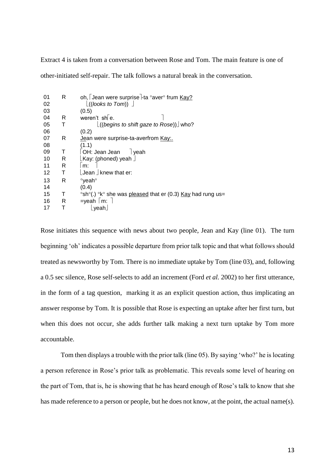Extract 4 is taken from a conversation between Rose and Tom. The main feature is one of other-initiated self-repair. The talk follows a natural break in the conversation.

| °sh°(.) °k° she was pleased that er (0.3) Kay had rung us= |
|------------------------------------------------------------|
|                                                            |
|                                                            |
|                                                            |

Rose initiates this sequence with news about two people, Jean and Kay (line 01). The turn beginning 'oh' indicates a possible departure from prior talk topic and that what follows should treated as newsworthy by Tom. There is no immediate uptake by Tom (line 03), and, following a 0.5 sec silence, Rose self-selects to add an increment (Ford *et al.* 2002) to her first utterance, in the form of a tag question, marking it as an explicit question action, thus implicating an answer response by Tom. It is possible that Rose is expecting an uptake after her first turn, but when this does not occur, she adds further talk making a next turn uptake by Tom more accountable.

Tom then displays a trouble with the prior talk (line 05). By saying 'who?' he is locating a person reference in Rose's prior talk as problematic. This reveals some level of hearing on the part of Tom, that is, he is showing that he has heard enough of Rose's talk to know that she has made reference to a person or people, but he does not know, at the point, the actual name(s).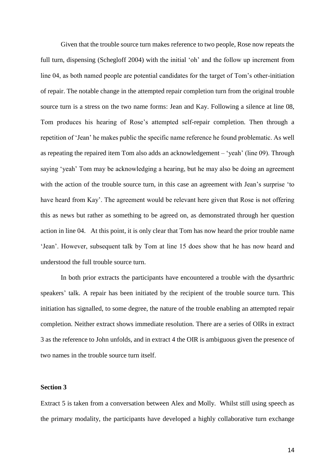Given that the trouble source turn makes reference to two people, Rose now repeats the full turn, dispensing (Schegloff 2004) with the initial 'oh' and the follow up increment from line 04, as both named people are potential candidates for the target of Tom's other-initiation of repair. The notable change in the attempted repair completion turn from the original trouble source turn is a stress on the two name forms: Jean and Kay. Following a silence at line 08, Tom produces his hearing of Rose's attempted self-repair completion. Then through a repetition of 'Jean' he makes public the specific name reference he found problematic. As well as repeating the repaired item Tom also adds an acknowledgement – 'yeah' (line 09). Through saying 'yeah' Tom may be acknowledging a hearing, but he may also be doing an agreement with the action of the trouble source turn, in this case an agreement with Jean's surprise 'to have heard from Kay'. The agreement would be relevant here given that Rose is not offering this as news but rather as something to be agreed on, as demonstrated through her question action in line 04. At this point, it is only clear that Tom has now heard the prior trouble name 'Jean'. However, subsequent talk by Tom at line 15 does show that he has now heard and understood the full trouble source turn.

In both prior extracts the participants have encountered a trouble with the dysarthric speakers' talk. A repair has been initiated by the recipient of the trouble source turn. This initiation has signalled, to some degree, the nature of the trouble enabling an attempted repair completion. Neither extract shows immediate resolution. There are a series of OIRs in extract 3 as the reference to John unfolds, and in extract 4 the OIR is ambiguous given the presence of two names in the trouble source turn itself.

### **Section 3**

Extract 5 is taken from a conversation between Alex and Molly. Whilst still using speech as the primary modality, the participants have developed a highly collaborative turn exchange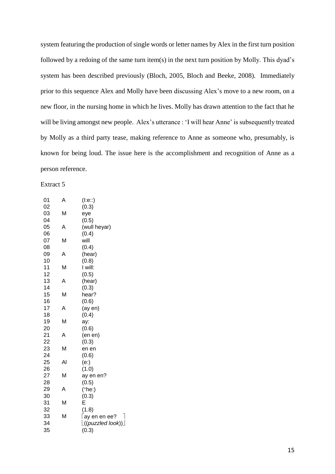system featuring the production of single words or letter names by Alex in the first turn position followed by a redoing of the same turn item(s) in the next turn position by Molly. This dyad's system has been described previously (Bloch, 2005, Bloch and Beeke, 2008). Immediately prior to this sequence Alex and Molly have been discussing Alex's move to a new room, on a new floor, in the nursing home in which he lives. Molly has drawn attention to the fact that he will be living amongst new people. Alex's utterance : 'I will hear Anne' is subsequently treated by Molly as a third party tease, making reference to Anne as someone who, presumably, is known for being loud. The issue here is the accomplishment and recognition of Anne as a person reference.

Extract 5

| 01 | Α  | (l:e∷)                      |
|----|----|-----------------------------|
| 02 |    | (0.3)                       |
| 03 | М  | eye                         |
| 04 |    | (0.5)                       |
| 05 | Α  | (wull heyar)                |
| 06 |    | (0.4)                       |
| 07 | М  | will                        |
| 08 |    | (0.4)                       |
| 09 | Α  | (hear)                      |
| 10 |    | (0.8)                       |
| 11 | Μ  | I will:                     |
| 12 |    | (0.5)                       |
| 13 | Α  | (hear)                      |
| 14 |    | (0.3)                       |
| 15 | Μ  | hear?                       |
| 16 |    | (0.6)                       |
| 17 | Α  | (ay en)                     |
| 18 |    | (0.4)                       |
| 19 | Μ  | ay:                         |
| 20 |    | (0.6)                       |
| 21 | A  | (en en)                     |
| 22 |    | (0.3)                       |
| 23 | M  | en en                       |
| 24 |    | (0.6)                       |
| 25 | Al | (e)                         |
| 26 |    | (1.0)                       |
| 27 | М  | ay en en?                   |
| 28 |    | (0.5)                       |
| 29 | Α  | (°he.)                      |
| 30 |    | (0.3)                       |
| 31 | M  | E                           |
| 32 |    | (1.8)                       |
| 33 | М  | ay en en ee?                |
| 34 |    | $\lfloor$ ((puzzled look))] |
| 35 |    | (0.3)                       |
|    |    |                             |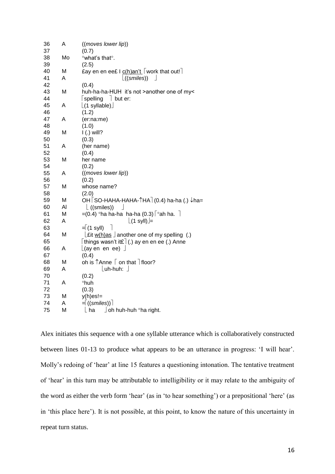| 36 | Α  | ((moves lower lip))                                              |
|----|----|------------------------------------------------------------------|
| 37 |    | (0.7)                                                            |
| 38 | Mo | °what's that°.                                                   |
| 39 |    | (2.5)                                                            |
| 40 | M  | £ay en en ee£ I c(h)an't work that out!                          |
| 41 | A  | $\lfloor$ ((smiles))                                             |
| 42 |    | (0.4)                                                            |
| 43 | M  | huh-ha-ha-HUH it's not >another one of my<                       |
| 44 |    | $\overline{\phantom{a}}$ but er:<br>$ $ spelling                 |
| 45 | A  | $\lfloor$ (1 syllable) $\rfloor$                                 |
| 46 |    | (1.2)                                                            |
| 47 | Α  | (er:na:me)                                                       |
| 48 |    | (1.0)                                                            |
| 49 | M  | $I(.)$ will?                                                     |
| 50 |    | (0.3)                                                            |
| 51 | A  | (her name)                                                       |
| 52 |    | (0.4)                                                            |
| 53 | M  | her name                                                         |
| 54 |    | (0.2)                                                            |
| 55 | A  | ((moves lower lip))                                              |
| 56 |    | (0.2)                                                            |
| 57 | M  | whose name?                                                      |
| 58 |    | (2.0)                                                            |
| 59 | M  | OH SO-HAHA-HAHA-↑HA (0.4) ha-ha (.) ↓ha=                         |
| 60 | Al | $\lfloor$ ((smiles))                                             |
| 61 | M  | $=(0.4)$ °ha ha-ha ha-ha (0.3) $\lceil$ °ah ha. $\rceil$         |
| 62 | A  | $\lfloor (1 \text{ syll}) \rfloor$ =                             |
| 63 |    | $=\left[ (1 \text{ syll}) \right]$                               |
| 64 | М  | $\lfloor$ £it $w(h)$ as $\rfloor$ another one of my spelling (.) |
| 65 |    | 「things wasn't it£ ิ (.) ay en en ee (.) Anne                    |
| 66 | Α  | $\lfloor$ (ay en en ee) $\rfloor$                                |
| 67 |    | (0.4)                                                            |
| 68 | M  | oh is 1Anne [on that 1floor?                                     |
| 69 | Α  | $\lfloor$ uh-huh: $\rfloor$                                      |
| 70 |    | (0.2)                                                            |
| 71 | A  | °huh                                                             |
| 72 |    | (0.3)                                                            |
| 73 | М  | $y(h)$ es!=                                                      |
| 74 | Α  | $=   (s$ miles $)  $                                             |
| 75 | M  | ha<br>∫oh huh-huh °ha right.                                     |

Alex initiates this sequence with a one syllable utterance which is collaboratively constructed between lines 01-13 to produce what appears to be an utterance in progress: 'I will hear'. Molly's redoing of 'hear' at line 15 features a questioning intonation. The tentative treatment of 'hear' in this turn may be attributable to intelligibility or it may relate to the ambiguity of the word as either the verb form 'hear' (as in 'to hear something') or a prepositional 'here' (as in 'this place here'). It is not possible, at this point, to know the nature of this uncertainty in repeat turn status.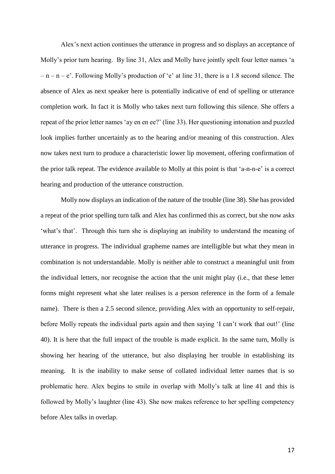Alex's next action continues the utterance in progress and so displays an acceptance of Molly's prior turn hearing. By line 31, Alex and Molly have jointly spelt four letter names 'a  $-$  n – n – e'. Following Molly's production of 'e' at line 31, there is a 1.8 second silence. The absence of Alex as next speaker here is potentially indicative of end of spelling or utterance completion work. In fact it is Molly who takes next turn following this silence. She offers a repeat of the prior letter names 'ay en en ee?' (line 33). Her questioning intonation and puzzled look implies further uncertainly as to the hearing and/or meaning of this construction. Alex now takes next turn to produce a characteristic lower lip movement, offering confirmation of the prior talk repeat. The evidence available to Molly at this point is that 'a-n-n-e' is a correct hearing and production of the utterance construction.

Molly now displays an indication of the nature of the trouble (line 38). She has provided a repeat of the prior spelling turn talk and Alex has confirmed this as correct, but she now asks 'what's that'. Through this turn she is displaying an inability to understand the meaning of utterance in progress. The individual grapheme names are intelligible but what they mean in combination is not understandable. Molly is neither able to construct a meaningful unit from the individual letters, nor recognise the action that the unit might play (i.e., that these letter forms might represent what she later realises is a person reference in the form of a female name). There is then a 2.5 second silence, providing Alex with an opportunity to self-repair, before Molly repeats the individual parts again and then saying 'I can't work that out!' (line 40). It is here that the full impact of the trouble is made explicit. In the same turn, Molly is showing her hearing of the utterance, but also displaying her trouble in establishing its meaning. It is the inability to make sense of collated individual letter names that is so problematic here. Alex begins to smile in overlap with Molly's talk at line 41 and this is followed by Molly's laughter (line 43). She now makes reference to her spelling competency before Alex talks in overlap.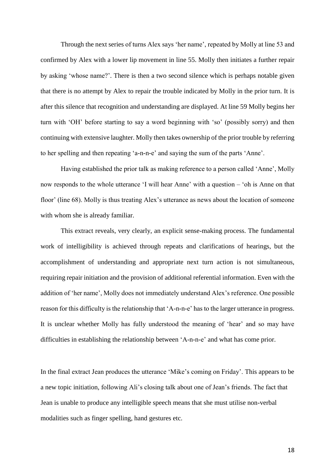Through the next series of turns Alex says 'her name', repeated by Molly at line 53 and confirmed by Alex with a lower lip movement in line 55. Molly then initiates a further repair by asking 'whose name?'. There is then a two second silence which is perhaps notable given that there is no attempt by Alex to repair the trouble indicated by Molly in the prior turn. It is after this silence that recognition and understanding are displayed. At line 59 Molly begins her turn with 'OH' before starting to say a word beginning with 'so' (possibly sorry) and then continuing with extensive laughter. Molly then takes ownership of the prior trouble by referring to her spelling and then repeating 'a-n-n-e' and saying the sum of the parts 'Anne'.

Having established the prior talk as making reference to a person called 'Anne', Molly now responds to the whole utterance 'I will hear Anne' with a question – 'oh is Anne on that floor' (line 68). Molly is thus treating Alex's utterance as news about the location of someone with whom she is already familiar.

This extract reveals, very clearly, an explicit sense-making process. The fundamental work of intelligibility is achieved through repeats and clarifications of hearings, but the accomplishment of understanding and appropriate next turn action is not simultaneous, requiring repair initiation and the provision of additional referential information. Even with the addition of 'her name', Molly does not immediately understand Alex's reference. One possible reason for this difficulty is the relationship that 'A-n-n-e' has to the larger utterance in progress. It is unclear whether Molly has fully understood the meaning of 'hear' and so may have difficulties in establishing the relationship between 'A-n-n-e' and what has come prior.

In the final extract Jean produces the utterance 'Mike's coming on Friday'. This appears to be a new topic initiation, following Ali's closing talk about one of Jean's friends. The fact that Jean is unable to produce any intelligible speech means that she must utilise non-verbal modalities such as finger spelling, hand gestures etc.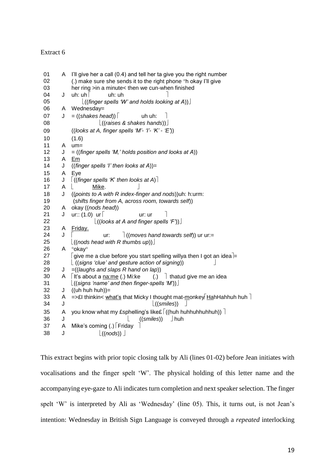# Extract 6

| 01 | A | I'll give her a call (0.4) and tell her ta give you the right number                 |
|----|---|--------------------------------------------------------------------------------------|
| 02 |   | (.) make sure she sends it to the right phone °h okay I'll give                      |
| 03 |   | her ring >in a minute< then we cun-when finished                                     |
| 04 | J | uh: $uh$<br>uh: uh                                                                   |
| 05 |   | $\lfloor$ ((finger spells 'W' and holds looking at A)) $\rfloor$                     |
| 06 | A | Wednesday=                                                                           |
| 07 | J | $=$ ((shakes head)) $\lceil$<br>uh uh:                                               |
| 08 |   | $\lfloor$ ((raises & shakes hands))                                                  |
| 09 |   | ((looks at A, finger spells 'M'- 'I'- 'K' - 'E'))                                    |
| 10 |   | (1.6)                                                                                |
| 11 | A | $um =$                                                                               |
| 12 | J | $= ((finger$ spells 'M,' holds position and looks at A))                             |
| 13 | Α | Em                                                                                   |
| 14 | J | ((finger spells 'l' then looks at A))=                                               |
| 15 | A | Eye                                                                                  |
| 16 | J | $\lceil$ ((finger spells 'K' then looks at A) $\rceil$                               |
| 17 | A | Mike.                                                                                |
| 18 | J | ((points to A with R index-finger and nods)) uh: h:urm:                              |
| 19 |   | (shifts finger from A, across room, towards self))                                   |
| 20 | A | okay ((nods head))                                                                   |
| 21 | J | $ur:: (1.0)$ ur<br>ur: ur                                                            |
| 22 |   | $\lfloor$ ((looks at A and finger spells 'F')) $\rfloor$                             |
| 23 | A | Friday.                                                                              |
| 24 | J | $\vert$ ((moves hand towards self)) ur ur:=<br>ur:                                   |
| 25 |   | $\lfloor$ ((nods head with R thumbs up)) $\rfloor$                                   |
| 26 | A | °okay°                                                                               |
| 27 |   | $\vert$ give me a clue before you start spelling willya then I got an idea $\vert$ = |
| 28 |   | $\lfloor$ ((signs 'clue' and gesture action of signing))                             |
| 29 | J | $= ((laughs and slaps R hand on lap))$                                               |
| 30 | A | It's about a $n$ a:me (.) Mi:ke<br>$(.)$   thatud give me an idea                    |
| 31 |   | $\lfloor$ ((signs 'name' and then finger-spells 'M'))                                |
| 32 | J | $((uh huh huh))=$                                                                    |
| 33 | A | =>£I thinkin< what's that Micky I thought mat-monkey HahHahhuh huh ]                 |
| 34 | J | $\lfloor$ ((smiles))                                                                 |
| 35 | Α | you know what my £sphelling's like£ $\lceil$ ((huh huhhuhhuhhuh)) $\rceil$           |
| 36 | J | $\vert$ huh<br>((smiles))                                                            |
| 37 | A | Mike's coming $(.)$ Friday                                                           |
| 38 | J | $\lfloor$ ((nods)) $\rfloor$                                                         |

This extract begins with prior topic closing talk by Ali (lines 01-02) before Jean initiates with vocalisations and the finger spelt 'W'. The physical holding of this letter name and the accompanying eye-gaze to Ali indicates turn completion and next speaker selection. The finger spelt 'W' is interpreted by Ali as 'Wednesday' (line 05). This, it turns out, is not Jean's intention: Wednesday in British Sign Language is conveyed through a *repeated* interlocking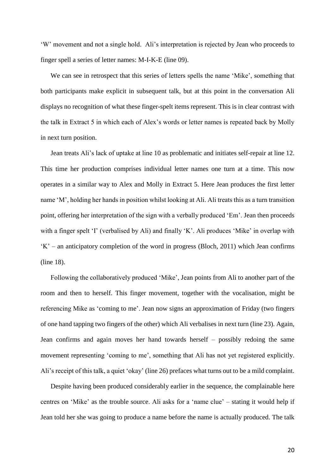'W' movement and not a single hold. Ali's interpretation is rejected by Jean who proceeds to finger spell a series of letter names: M-I-K-E (line 09).

We can see in retrospect that this series of letters spells the name 'Mike', something that both participants make explicit in subsequent talk, but at this point in the conversation Ali displays no recognition of what these finger-spelt items represent. This is in clear contrast with the talk in Extract 5 in which each of Alex's words or letter names is repeated back by Molly in next turn position.

Jean treats Ali's lack of uptake at line 10 as problematic and initiates self-repair at line 12. This time her production comprises individual letter names one turn at a time. This now operates in a similar way to Alex and Molly in Extract 5. Here Jean produces the first letter name 'M', holding her hands in position whilst looking at Ali. Ali treats this as a turn transition point, offering her interpretation of the sign with a verbally produced 'Em'. Jean then proceeds with a finger spelt 'I' (verbalised by Ali) and finally 'K'. Ali produces 'Mike' in overlap with 'K' – an anticipatory completion of the word in progress (Bloch, 2011) which Jean confirms (line 18).

Following the collaboratively produced 'Mike', Jean points from Ali to another part of the room and then to herself. This finger movement, together with the vocalisation, might be referencing Mike as 'coming to me'. Jean now signs an approximation of Friday (two fingers of one hand tapping two fingers of the other) which Ali verbalises in next turn (line 23). Again, Jean confirms and again moves her hand towards herself – possibly redoing the same movement representing 'coming to me', something that Ali has not yet registered explicitly. Ali's receipt of this talk, a quiet 'okay' (line 26) prefaces what turns out to be a mild complaint.

Despite having been produced considerably earlier in the sequence, the complainable here centres on 'Mike' as the trouble source. Ali asks for a 'name clue' – stating it would help if Jean told her she was going to produce a name before the name is actually produced. The talk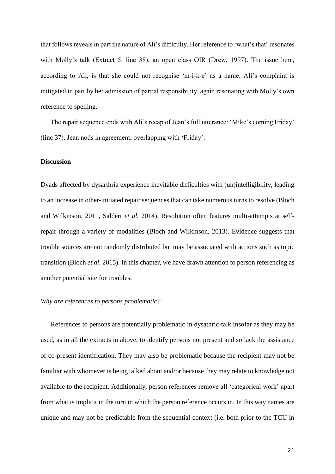that follows reveals in part the nature of Ali's difficulty. Her reference to 'what's that' resonates with Molly's talk (Extract 5: line 38), an open class OIR (Drew, 1997). The issue here, according to Ali, is that she could not recognise 'm-i-k-e' as a name. Ali's complaint is mitigated in part by her admission of partial responsibility, again resonating with Molly's own reference to spelling.

The repair sequence ends with Ali's recap of Jean's full utterance: 'Mike's coming Friday' (line 37). Jean nods in agreement, overlapping with 'Friday'.

### **Discussion**

Dyads affected by dysarthria experience inevitable difficulties with (un)intelligibility, leading to an increase in other-initiated repair sequences that can take numerous turns to resolve (Bloch and Wilkinson, 2011, Saldert *et al.* 2014). Resolution often features multi-attempts at selfrepair through a variety of modalities (Bloch and Wilkinson, 2013). Evidence suggests that trouble sources are not randomly distributed but may be associated with actions such as topic transition (Bloch *et al.* 2015). In this chapter, we have drawn attention to person referencing as another potential site for troubles.

# *Why are references to persons problematic?*

References to persons are potentially problematic in dysathric-talk insofar as they may be used, as in all the extracts in above, to identify persons not present and so lack the assistance of co-present identification. They may also be problematic because the recipient may not be familiar with whomever is being talked about and/or because they may relate to knowledge not available to the recipient. Additionally, person references remove all 'categorical work' apart from what is implicit in the turn in which the person reference occurs in. In this way names are unique and may not be predictable from the sequential context (i.e. both prior to the TCU in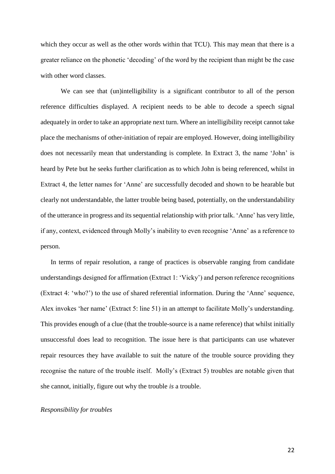which they occur as well as the other words within that TCU). This may mean that there is a greater reliance on the phonetic 'decoding' of the word by the recipient than might be the case with other word classes.

We can see that (un)intelligibility is a significant contributor to all of the person reference difficulties displayed. A recipient needs to be able to decode a speech signal adequately in order to take an appropriate next turn. Where an intelligibility receipt cannot take place the mechanisms of other-initiation of repair are employed. However, doing intelligibility does not necessarily mean that understanding is complete. In Extract 3, the name 'John' is heard by Pete but he seeks further clarification as to which John is being referenced, whilst in Extract 4, the letter names for 'Anne' are successfully decoded and shown to be hearable but clearly not understandable, the latter trouble being based, potentially, on the understandability of the utterance in progress and its sequential relationship with prior talk. 'Anne' has very little, if any, context, evidenced through Molly's inability to even recognise 'Anne' as a reference to person.

In terms of repair resolution, a range of practices is observable ranging from candidate understandings designed for affirmation (Extract 1: 'Vicky') and person reference recognitions (Extract 4: 'who?') to the use of shared referential information. During the 'Anne' sequence, Alex invokes 'her name' (Extract 5: line 51) in an attempt to facilitate Molly's understanding. This provides enough of a clue (that the trouble-source is a name reference) that whilst initially unsuccessful does lead to recognition. The issue here is that participants can use whatever repair resources they have available to suit the nature of the trouble source providing they recognise the nature of the trouble itself. Molly's (Extract 5) troubles are notable given that she cannot, initially, figure out why the trouble *is* a trouble.

# *Responsibility for troubles*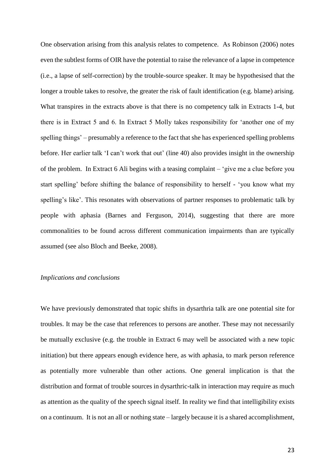One observation arising from this analysis relates to competence. As Robinson (2006) notes even the subtlest forms of OIR have the potential to raise the relevance of a lapse in competence (i.e., a lapse of self-correction) by the trouble-source speaker. It may be hypothesised that the longer a trouble takes to resolve, the greater the risk of fault identification (e.g. blame) arising. What transpires in the extracts above is that there is no competency talk in Extracts 1-4, but there is in Extract 5 and 6. In Extract 5 Molly takes responsibility for 'another one of my spelling things' – presumably a reference to the fact that she has experienced spelling problems before. Her earlier talk 'I can't work that out' (line 40) also provides insight in the ownership of the problem. In Extract 6 Ali begins with a teasing complaint – 'give me a clue before you start spelling' before shifting the balance of responsibility to herself - 'you know what my spelling's like'. This resonates with observations of partner responses to problematic talk by people with aphasia (Barnes and Ferguson, 2014), suggesting that there are more commonalities to be found across different communication impairments than are typically assumed (see also Bloch and Beeke, 2008).

## *Implications and conclusions*

We have previously demonstrated that topic shifts in dysarthria talk are one potential site for troubles. It may be the case that references to persons are another. These may not necessarily be mutually exclusive (e.g. the trouble in Extract 6 may well be associated with a new topic initiation) but there appears enough evidence here, as with aphasia, to mark person reference as potentially more vulnerable than other actions. One general implication is that the distribution and format of trouble sources in dysarthric-talk in interaction may require as much as attention as the quality of the speech signal itself. In reality we find that intelligibility exists on a continuum. It is not an all or nothing state – largely because it is a shared accomplishment,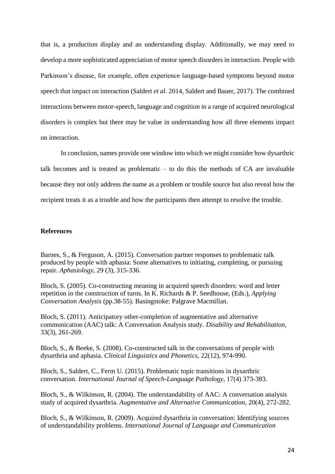that is, a production display and an understanding display. Additionally, we may need to develop a more sophisticated appreciation of motor speech disorders in interaction. People with Parkinson's disease, for example, often experience language-based symptoms beyond motor speech that impact on interaction (Saldert *et al*. 2014, Saldert and Bauer, 2017). The combined interactions between motor-speech, language and cognition in a range of acquired neurological disorders is complex but there may be value in understanding how all three elements impact on interaction.

In conclusion, names provide one window into which we might consider how dysarthric talk becomes and is treated as problematic – to do this the methods of CA are invaluable because they not only address the name as a problem or trouble source but also reveal how the recipient treats it as a trouble and how the participants then attempt to resolve the trouble.

# **References**

Barnes, S., & Ferguson, A. (2015). Conversation partner responses to problematic talk produced by people with aphasia: Some alternatives to initiating, completing, or pursuing repair. *Aphasiology,* 29 (3), 315-336.

Bloch, S. (2005). Co-constructing meaning in acquired speech disorders: word and letter repetition in the construction of turns. In K. Richards & P. Seedhouse, (Eds.), *Applying Conversation Analysis* (pp.38-55). Basingstoke: Palgrave Macmillan.

Bloch, S. (2011). Anticipatory other-completion of augmentative and alternative communication (AAC) talk: A Conversation Analysis study. *Disability and Rehabilitation,* 33(3), 261-269.

Bloch, S., & Beeke, S. (2008). Co-constructed talk in the conversations of people with dysarthria and aphasia. *Clinical Linguistics and Phonetics,* 22(12), 974-990.

Bloch, S., Saldert, C., Ferm U. (2015). Problematic topic transitions in dysarthric conversation. *International Journal of Speech-Language Pathology,* 17(4) 373-383.

Bloch, S., & Wilkinson, R. (2004). The understandability of AAC: A conversation analysis study of acquired dysarthria. *Augmentative and Alternative Communication,* 20(4), 272-282.

Bloch, S., & Wilkinson, R. (2009). Acquired dysarthria in conversation: Identifying sources of understandability problems. *International Journal of Language and Communication*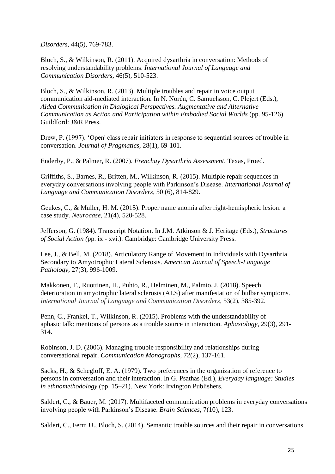*Disorders,* 44(5), 769-783.

Bloch, S., & Wilkinson, R. (2011). Acquired dysarthria in conversation: Methods of resolving understandability problems. *International Journal of Language and Communication Disorders,* 46(5), 510-523.

Bloch, S., & Wilkinson, R. (2013). Multiple troubles and repair in voice output communication aid-mediated interaction. In N. Norén, C. Samuelsson, C. Plejert (Eds.), *Aided Communication in Dialogical Perspectives. Augmentative and Alternative Communication as Action and Participation within Embodied Social Worlds* (pp. 95-126). Guildford: J&R Press.

Drew, P. (1997). 'Open' class repair initiators in response to sequential sources of trouble in conversation. *Journal of Pragmatics,* 28(1), 69-101.

Enderby, P., & Palmer, R. (2007). *Frenchay Dysarthria Assessment*. Texas, Proed.

Griffiths, S., Barnes, R., Britten, M., Wilkinson, R. (2015). Multiple repair sequences in everyday conversations involving people with Parkinson's Disease. *International Journal of Language and Communication Disorders,* 50 (6), 814-829.

Geukes, C., & Muller, H. M. (2015). Proper name anomia after right-hemispheric lesion: a case study. *Neurocase,* 21(4), 520-528.

Jefferson, G. (1984). Transcript Notation. In J.M. Atkinson & J. Heritage (Eds.), *Structures of Social Action (*pp. ix - xvi.). Cambridge: Cambridge University Press.

Lee, J., & Bell, M. (2018). Articulatory Range of Movement in Individuals with Dysarthria Secondary to Amyotrophic Lateral Sclerosis. *American Journal of Speech-Language Pathology,* 27(3), 996-1009.

Makkonen, T., Ruottinen, H., Puhto, R., Helminen, M., Palmio, J. (2018). Speech deterioration in amyotrophic lateral sclerosis (ALS) after manifestation of bulbar symptoms. *International Journal of Language and Communication Disorders,* 53(2), 385-392.

Penn, C., Frankel, T., Wilkinson, R. (2015). Problems with the understandability of aphasic talk: mentions of persons as a trouble source in interaction. *Aphasiology,* 29(3), 291- 314.

Robinson, J. D. (2006). Managing trouble responsibility and relationships during conversational repair. *Communication Monographs,* 72(2), 137-161.

Sacks, H., & Schegloff, E. A. (1979). Two preferences in the organization of reference to persons in conversation and their interaction. In G. Psathas (Ed.), *Everyday language: Studies in ethnomethodology* (pp. 15–21). New York: Irvington Publishers.

Saldert, C., & Bauer, M. (2017). Multifaceted communication problems in everyday conversations involving people with Parkinson's Disease. *Brain Sciences*, 7(10), 123.

Saldert, C., Ferm U., Bloch, S. (2014). Semantic trouble sources and their repair in conversations